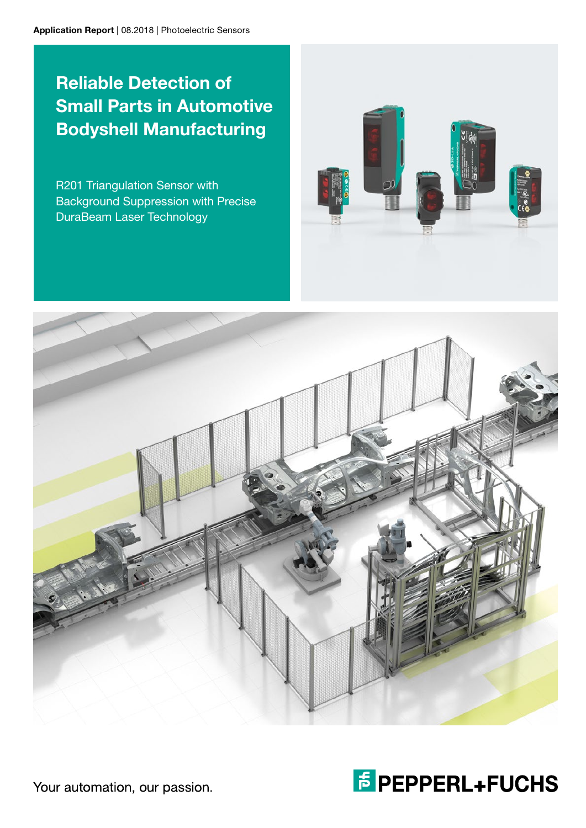# Reliable Detection of Small Parts in Automotive Bodyshell Manufacturing

R201 Triangulation Sensor with Background Suppression with Precise DuraBeam Laser Technology







Your automation, our passion.